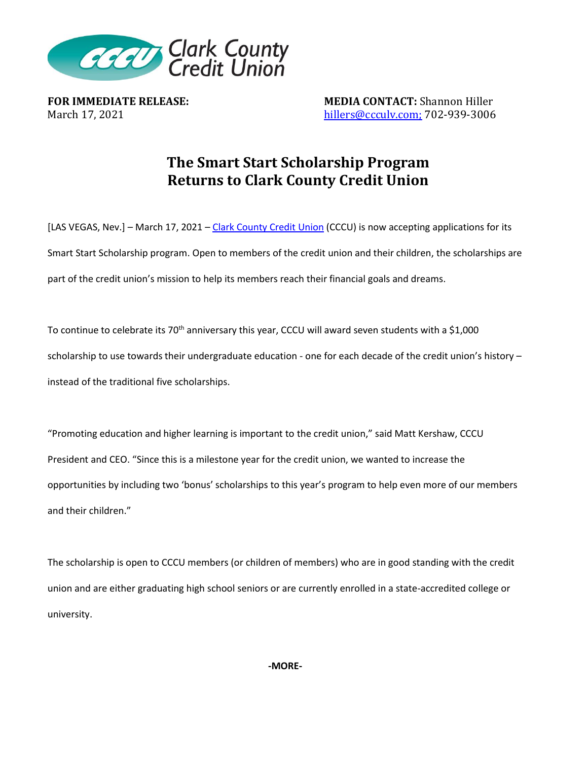

**FOR IMMEDIATE RELEASE: MEDIA CONTACT:** Shannon Hiller March 17, 2021 **hillers@ccculv.com**; 702-939-3006

## **The Smart Start Scholarship Program Returns to Clark County Credit Union**

[LAS VEGAS, Nev.] – March 17, 2021 – [Clark County Credit Union](http://www.ccculv.org/) (CCCU) is now accepting applications for its Smart Start Scholarship program. Open to members of the credit union and their children, the scholarships are part of the credit union's mission to help its members reach their financial goals and dreams.

To continue to celebrate its 70<sup>th</sup> anniversary this year, CCCU will award seven students with a \$1,000 scholarship to use towards their undergraduate education - one for each decade of the credit union's history – instead of the traditional five scholarships.

"Promoting education and higher learning is important to the credit union," said Matt Kershaw, CCCU President and CEO. "Since this is a milestone year for the credit union, we wanted to increase the opportunities by including two 'bonus' scholarships to this year's program to help even more of our members and their children."

The scholarship is open to CCCU members (or children of members) who are in good standing with the credit union and are either graduating high school seniors or are currently enrolled in a state-accredited college or university.

**-MORE-**